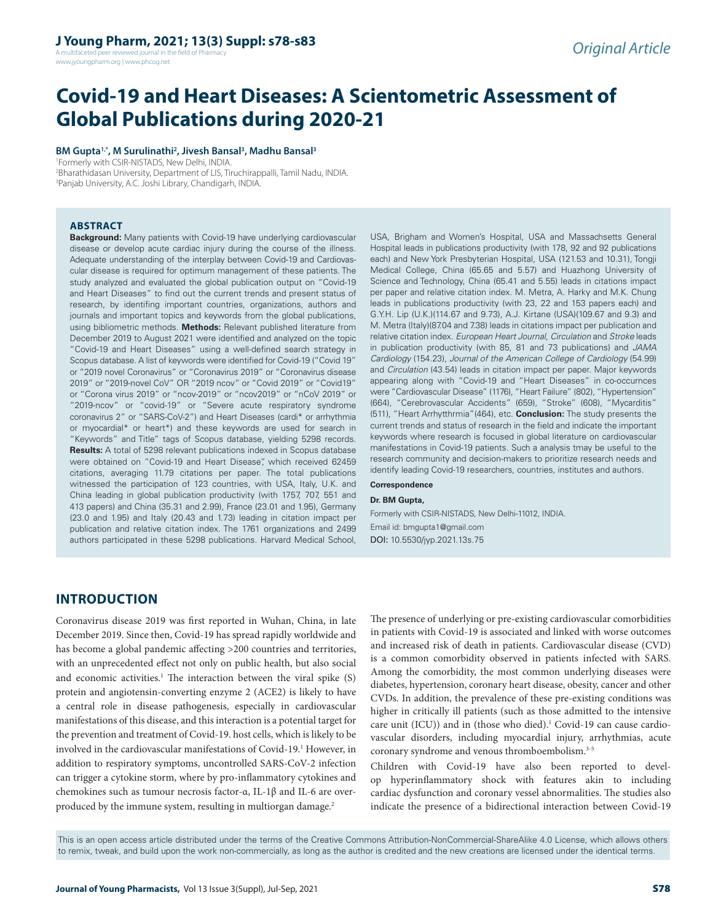A multifaceted peer reviewed journal in the field of Pharm www.jyoungpharm.org | www.phcog.net

# **Covid-19 and Heart Diseases: A Scientometric Assessment of Global Publications during 2020-21**

**BM Gupta1,\*, M Surulinathi2 , Jivesh Bansal3 , Madhu Bansal3**

1 Formerly with CSIR-NISTADS, New Delhi, INDIA. 2 Bharathidasan University, Department of LIS, Tiruchirappalli, Tamil Nadu, INDIA. 3 Panjab University, A.C. Joshi Library, Chandigarh, INDIA.

#### **ABSTRACT**

**Background:** Many patients with Covid-19 have underlying cardiovascular disease or develop acute cardiac injury during the course of the illness. Adequate understanding of the interplay between Covid-19 and Cardiovascular disease is required for optimum management of these patients. The study analyzed and evaluated the global publication output on "Covid-19 and Heart Diseases" to find out the current trends and present status of research, by identifing important countries, organizations, authors and journals and important topics and keywords from the global publications, using bibliometric methods. **Methods:** Relevant published literature from December 2019 to August 2021 were identified and analyzed on the topic "Covid-19 and Heart Diseases" using a well-defined search strategy in Scopus database. A list of keywords were identified for Covid-19 ("Covid 19" or "2019 novel Coronavirus" or "Coronavirus 2019" or "Coronavirus disease 2019" or "2019-novel CoV" OR "2019 ncov" or "Covid 2019" or "Covid19" or "Corona virus 2019" or "ncov-2019" or "ncov2019" or "nCoV 2019" or "2019-ncov" or "covid-19" or "Severe acute respiratory syndrome coronavirus 2" or "SARS-CoV-2") and Heart Diseases (cardi\* or arrhythmia or myocardial\* or heart\*) and these keywords are used for search in "Keywords" and Title" tags of Scopus database, yielding 5298 records. **Results:** A total of 5298 relevant publications indexed in Scopus database were obtained on "Covid-19 and Heart Disease", which received 62459 citations, averaging 11.79 citations per paper. The total publications witnessed the participation of 123 countries, with USA, Italy, U.K. and China leading in global publication productivity (with 1757, 707, 551 and 413 papers) and China (35.31 and 2.99), France (23.01 and 1.95), Germany (23.0 and 1.95) and Italy (20.43 and 1.73) leading in citation impact per publication and relative citation index. The 1761 organizations and 2499 authors participated in these 5298 publications. Harvard Medical School,

USA, Brigham and Women's Hospital, USA and Massachsetts General Hospital leads in publications productivity (with 178, 92 and 92 publications each) and New York Presbyterian Hospital, USA (121.53 and 10.31), Tongji Medical College, China (65.65 and 5.57) and Huazhong University of Science and Technology, China (65.41 and 5.55) leads in citations impact per paper and relative citation index. M. Metra, A. Harky and M.K. Chung leads in publications productivity (with 23, 22 and 153 papers each) and G.Y.H. Lip (U.K.)(114.67 and 9.73), A.J. Kirtane (USA)(109.67 and 9.3) and M. Metra (Italy)(87.04 and 7.38) leads in citations impact per publication and relative citation index. *European Heart Journal*, *Circulation* and *Stroke* leads in publication productivity (with 85, 81 and 73 publications) and *JAMA Cardiology* (154.23), *Journal of the American College of Cardiology* (54.99) and *Circulation* (43.54) leads in citation impact per paper. Major keywords appearing along with "Covid-19 and "Heart Diseases" in co-occurnces were "Cardiovascular Disease" (1176), "Heart Failure" (802), "Hypertension" (664), "Cerebrovascular Accidents" (659), "Stroke" (608), "Mycarditis" (511), "Heart Arrhytthrmia"(464), etc. **Conclusion:** The study presents the current trends and status of research in the field and indicate the important keywords where research is focused in global literature on cardiovascular manifestations in Covid-19 patients. Such a analysis tmay be useful to the research community and decision-makers to prioritize research needs and identify leading Covid-19 researchers, countries, institutes and authors.

#### **Correspondence**

#### **Dr. BM Gupta,**

Formerly with CSIR-NISTADS, New Delhi-11012, INDIA. Email id: bmgupta1@gmail.com DOI: 10.5530/jyp.2021.13s.75

# **INTRODUCTION**

Coronavirus disease 2019 was first reported in Wuhan, China, in late December 2019. Since then, Covid-19 has spread rapidly worldwide and has become a global pandemic affecting >200 countries and territories, with an unprecedented effect not only on public health, but also social and economic activities.<sup>1</sup> The interaction between the viral spike (S) protein and angiotensin-converting enzyme 2 (ACE2) is likely to have a central role in disease pathogenesis, especially in cardiovascular manifestations of this disease, and this interaction is a potential target for the prevention and treatment of Covid-19. host cells, which is likely to be involved in the cardiovascular manifestations of Covid-19.1 However, in addition to respiratory symptoms, uncontrolled SARS-CoV-2 infection can trigger a cytokine storm, where by pro-inflammatory cytokines and chemokines such as tumour necrosis factor-α, IL-1β and IL-6 are overproduced by the immune system, resulting in multiorgan damage.<sup>2</sup>

The presence of underlying or pre-existing cardiovascular comorbidities in patients with Covid-19 is associated and linked with worse outcomes and increased risk of death in patients. Cardiovascular disease (CVD) is a common comorbidity observed in patients infected with SARS. Among the comorbidity, the most common underlying diseases were diabetes, hypertension, coronary heart disease, obesity, cancer and other CVDs. In addition, the prevalence of these pre-existing conditions was higher in critically ill patients (such as those admitted to the intensive care unit (ICU)) and in (those who died).<sup>1</sup> Covid-19 can cause cardiovascular disorders, including myocardial injury, arrhythmias, acute coronary syndrome and venous thromboembolism.3-5

Children with Covid-19 have also been reported to develop hyperinflammatory shock with features akin to including cardiac dysfunction and coronary vessel abnormalities. The studies also indicate the presence of a bidirectional interaction between Covid-19

This is an open access article distributed under the terms of the Creative Commons Attribution-NonCommercial-ShareAlike 4.0 License, which allows others to remix, tweak, and build upon the work non-commercially, as long as the author is credited and the new creations are licensed under the identical terms.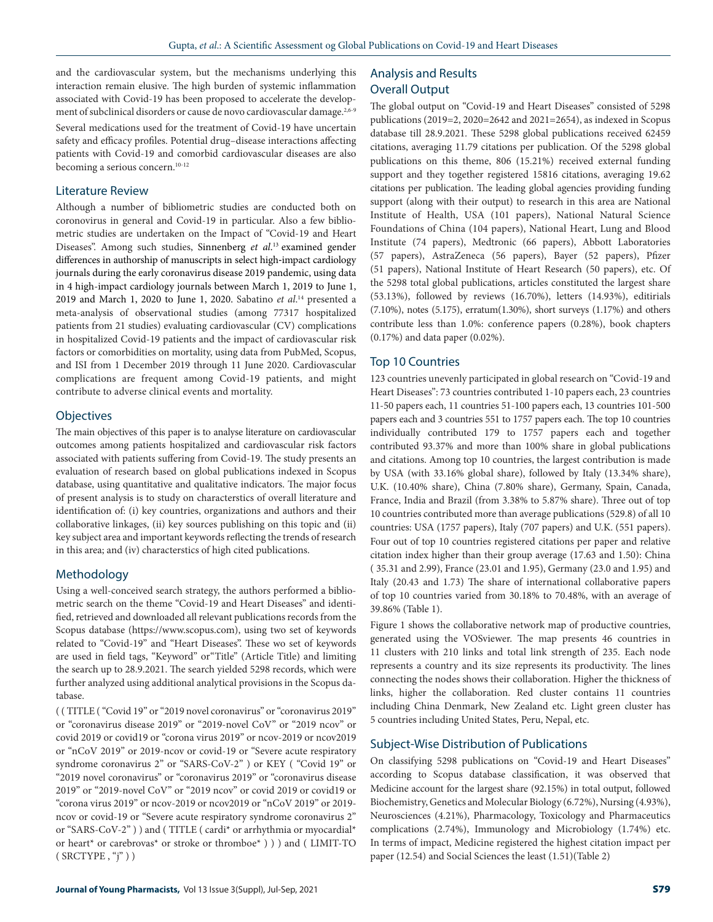and the cardiovascular system, but the mechanisms underlying this interaction remain elusive. The high burden of systemic inflammation associated with Covid-19 has been proposed to accelerate the development of subclinical disorders or cause de novo cardiovascular damage.<sup>2,6-9</sup>

Several medications used for the treatment of Covid-19 have uncertain safety and efficacy profiles. Potential drug–disease interactions affecting patients with Covid-19 and comorbid cardiovascular diseases are also becoming a serious concern.<sup>10-12</sup>

### Literature Review

Although a number of bibliometric studies are conducted both on coronovirus in general and Covid-19 in particular. Also a few bibliometric studies are undertaken on the Impact of "Covid-19 and Heart Diseases". Among such studies, Sinnenberg *et al*. 13 examined gender differences in authorship of manuscripts in select high‐impact cardiology journals during the early coronavirus disease 2019 pandemic, using data in 4 high-impact cardiology journals between March 1, 2019 to June 1, 2019 and March 1, 2020 to June 1, 2020. Sabatino *et al*. 14 presented a meta-analysis of observational studies (among 77317 hospitalized patients from 21 studies) evaluating cardiovascular (CV) complications in hospitalized Covid-19 patients and the impact of cardiovascular risk factors or comorbidities on mortality, using data from PubMed, Scopus, and ISI from 1 December 2019 through 11 June 2020. Cardiovascular complications are frequent among Covid-19 patients, and might contribute to adverse clinical events and mortality.

#### **Objectives**

The main objectives of this paper is to analyse literature on cardiovascular outcomes among patients hospitalized and cardiovascular risk factors associated with patients suffering from Covid-19. The study presents an evaluation of research based on global publications indexed in Scopus database, using quantitative and qualitative indicators. The major focus of present analysis is to study on characterstics of overall literature and identification of: (i) key countries, organizations and authors and their collaborative linkages, (ii) key sources publishing on this topic and (ii) key subject area and important keywords reflecting the trends of research in this area; and (iv) characterstics of high cited publications.

### Methodology

Using a well-conceived search strategy, the authors performed a bibliometric search on the theme "Covid-19 and Heart Diseases" and identified, retrieved and downloaded all relevant publications records from the Scopus database (https://www.scopus.com), using two set of keywords related to "Covid-19" and "Heart Diseases". These wo set of keywords are used in field tags, "Keyword" or"Title" (Article Title) and limiting the search up to 28.9.2021. The search yielded 5298 records, which were further analyzed using additional analytical provisions in the Scopus database.

( ( TITLE ( "Covid 19" or "2019 novel coronavirus" or "coronavirus 2019" or "coronavirus disease 2019" or "2019-novel CoV" or "2019 ncov" or covid 2019 or covid19 or "corona virus 2019" or ncov-2019 or ncov2019 or "nCoV 2019" or 2019-ncov or covid-19 or "Severe acute respiratory syndrome coronavirus 2" or "SARS-CoV-2" ) or KEY ( "Covid 19" or "2019 novel coronavirus" or "coronavirus 2019" or "coronavirus disease 2019" or "2019-novel CoV" or "2019 ncov" or covid 2019 or covid19 or "corona virus 2019" or ncov-2019 or ncov2019 or "nCoV 2019" or 2019 ncov or covid-19 or "Severe acute respiratory syndrome coronavirus 2" or "SARS-CoV-2" ) ) and ( TITLE ( cardi\* or arrhythmia or myocardial\* or heart\* or carebrovas\* or stroke or thromboe\* ) ) ) and ( LIMIT-TO  $(SRCTYPE, "j")$ 

# Analysis and Results Overall Output

The global output on "Covid-19 and Heart Diseases" consisted of 5298 publications (2019=2, 2020=2642 and 2021=2654), as indexed in Scopus database till 28.9.2021*.* These 5298 global publications received 62459 citations, averaging 11.79 citations per publication. Of the 5298 global publications on this theme, 806 (15.21%) received external funding support and they together registered 15816 citations, averaging 19.62 citations per publication. The leading global agencies providing funding support (along with their output) to research in this area are National Institute of Health, USA (101 papers), National Natural Science Foundations of China (104 papers), National Heart, Lung and Blood Institute (74 papers), Medtronic (66 papers), Abbott Laboratories (57 papers), AstraZeneca (56 papers), Bayer (52 papers), Pfizer (51 papers), National Institute of Heart Research (50 papers), etc. Of the 5298 total global publications, articles constituted the largest share (53.13%), followed by reviews (16.70%), letters (14.93%), editirials (7.10%), notes (5.175), erratum(1.30%), short surveys (1.17%) and others contribute less than 1.0%: conference papers (0.28%), book chapters (0.17%) and data paper (0.02%).

#### Top 10 Countries

123 countries unevenly participated in global research on "Covid-19 and Heart Diseases": 73 countries contributed 1-10 papers each, 23 countries 11-50 papers each, 11 countries 51-100 papers each, 13 countries 101-500 papers each and 3 countries 551 to 1757 papers each. The top 10 countries individually contributed 179 to 1757 papers each and together contributed 93.37% and more than 100% share in global publications and citations. Among top 10 countries, the largest contribution is made by USA (with 33.16% global share), followed by Italy (13.34% share), U.K. (10.40% share), China (7.80% share), Germany, Spain, Canada, France, India and Brazil (from 3.38% to 5.87% share). Three out of top 10 countries contributed more than average publications (529.8) of all 10 countries: USA (1757 papers), Italy (707 papers) and U.K. (551 papers). Four out of top 10 countries registered citations per paper and relative citation index higher than their group average (17.63 and 1.50): China ( 35.31 and 2.99), France (23.01 and 1.95), Germany (23.0 and 1.95) and Italy (20.43 and 1.73) The share of international collaborative papers of top 10 countries varied from 30.18% to 70.48%, with an average of 39.86% (Table 1).

Figure 1 shows the collaborative network map of productive countries, generated using the VOSviewer. The map presents 46 countries in 11 clusters with 210 links and total link strength of 235. Each node represents a country and its size represents its productivity. The lines connecting the nodes shows their collaboration. Higher the thickness of links, higher the collaboration. Red cluster contains 11 countries including China Denmark, New Zealand etc. Light green cluster has 5 countries including United States, Peru, Nepal, etc.

## Subject-Wise Distribution of Publications

On classifying 5298 publications on "Covid-19 and Heart Diseases" according to Scopus database classification, it was observed that Medicine account for the largest share (92.15%) in total output, followed Biochemistry, Genetics and Molecular Biology (6.72%), Nursing (4.93%), Neurosciences (4.21%), Pharmacology, Toxicology and Pharmaceutics complications (2.74%), Immunology and Microbiology (1.74%) etc. In terms of impact, Medicine registered the highest citation impact per paper (12.54) and Social Sciences the least (1.51)(Table 2)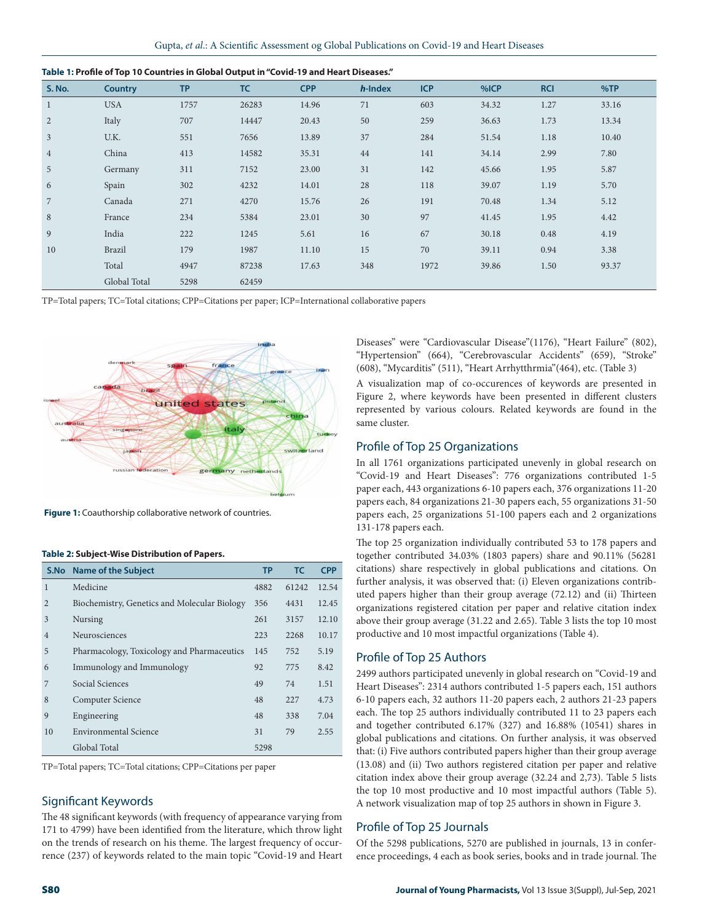| <b>S. No.</b>  | <b>Country</b> | <b>TP</b> | <b>TC</b> | <b>CPP</b> | h-Index | <b>ICP</b> | %ICP  | <b>RCI</b> | %TP   |  |
|----------------|----------------|-----------|-----------|------------|---------|------------|-------|------------|-------|--|
| $\mathbf{1}$   | <b>USA</b>     | 1757      | 26283     | 14.96      | 71      | 603        | 34.32 | 1.27       | 33.16 |  |
| $\overline{2}$ | Italy          | 707       | 14447     | 20.43      | 50      | 259        | 36.63 | 1.73       | 13.34 |  |
| $\mathfrak{Z}$ | U.K.           | 551       | 7656      | 13.89      | 37      | 284        | 51.54 | 1.18       | 10.40 |  |
| $\overline{4}$ | China          | 413       | 14582     | 35.31      | 44      | 141        | 34.14 | 2.99       | 7.80  |  |
| 5 <sup>5</sup> | Germany        | 311       | 7152      | 23.00      | 31      | 142        | 45.66 | 1.95       | 5.87  |  |
| 6              | Spain          | 302       | 4232      | 14.01      | 28      | 118        | 39.07 | 1.19       | 5.70  |  |
| $\overline{7}$ | Canada         | 271       | 4270      | 15.76      | 26      | 191        | 70.48 | 1.34       | 5.12  |  |
| 8              | France         | 234       | 5384      | 23.01      | 30      | 97         | 41.45 | 1.95       | 4.42  |  |
| 9              | India          | 222       | 1245      | 5.61       | 16      | 67         | 30.18 | 0.48       | 4.19  |  |
| 10             | Brazil         | 179       | 1987      | 11.10      | 15      | 70         | 39.11 | 0.94       | 3.38  |  |
|                | Total          | 4947      | 87238     | 17.63      | 348     | 1972       | 39.86 | 1.50       | 93.37 |  |
|                | Global Total   | 5298      | 62459     |            |         |            |       |            |       |  |

|  | Table 1: Profile of Top 10 Countries in Global Output in "Covid-19 and Heart Diseases." |
|--|-----------------------------------------------------------------------------------------|
|  |                                                                                         |

TP=Total papers; TC=Total citations; CPP=Citations per paper; ICP=International collaborative papers



**Figure 1:** Coauthorship collaborative network of countries.

|                | S.No Name of the Subject                     | <b>TP</b> | TC.   | <b>CPP</b> |
|----------------|----------------------------------------------|-----------|-------|------------|
| $\mathbf{1}$   | Medicine                                     | 4882      | 61242 | 12.54      |
| $\overline{2}$ | Biochemistry, Genetics and Molecular Biology | 356       | 4431  | 12.45      |
| 3              | Nursing                                      | 261       | 3157  | 12.10      |
| $\overline{4}$ | Neurosciences                                | 223       | 2268  | 10.17      |
| 5              | Pharmacology, Toxicology and Pharmaceutics   | 145       | 752   | 5.19       |
| 6              | Immunology and Immunology                    | 92        | 775   | 8.42       |
| 7              | Social Sciences                              | 49        | 74    | 1.51       |
| 8              | Computer Science                             | 48        | 227   | 4.73       |
| 9              | Engineering                                  | 48        | 338   | 7.04       |
| 10             | Environmental Science                        | 31        | 79    | 2.55       |
|                | Global Total                                 | 5298      |       |            |

#### **Table 2: Subject-Wise Distribution of Papers.**

TP=Total papers; TC=Total citations; CPP=Citations per paper

#### Significant Keywords

The 48 significant keywords (with frequency of appearance varying from 171 to 4799) have been identified from the literature, which throw light on the trends of research on his theme. The largest frequency of occurrence (237) of keywords related to the main topic "Covid-19 and Heart Diseases" were "Cardiovascular Disease"(1176), "Heart Failure" (802), "Hypertension" (664), "Cerebrovascular Accidents" (659), "Stroke" (608), "Mycarditis" (511), "Heart Arrhytthrmia"(464), etc. (Table 3)

A visualization map of co-occurences of keywords are presented in Figure 2, where keywords have been presented in different clusters represented by various colours. Related keywords are found in the same cluster.

#### Profile of Top 25 Organizations

In all 1761 organizations participated unevenly in global research on "Covid-19 and Heart Diseases": 776 organizations contributed 1-5 paper each, 443 organizations 6-10 papers each, 376 organizations 11-20 papers each, 84 organizations 21-30 papers each, 55 organizations 31-50 papers each, 25 organizations 51-100 papers each and 2 organizations 131-178 papers each.

The top 25 organization individually contributed 53 to 178 papers and together contributed 34.03% (1803 papers) share and 90.11% (56281 citations) share respectively in global publications and citations. On further analysis, it was observed that: (i) Eleven organizations contributed papers higher than their group average (72.12) and (ii) Thirteen organizations registered citation per paper and relative citation index above their group average (31.22 and 2.65). Table 3 lists the top 10 most productive and 10 most impactful organizations (Table 4).

#### Profile of Top 25 Authors

2499 authors participated unevenly in global research on "Covid-19 and Heart Diseases": 2314 authors contributed 1-5 papers each, 151 authors 6-10 papers each, 32 authors 11-20 papers each, 2 authors 21-23 papers each. The top 25 authors individually contributed 11 to 23 papers each and together contributed 6.17% (327) and 16.88% (10541) shares in global publications and citations. On further analysis, it was observed that: (i) Five authors contributed papers higher than their group average (13.08) and (ii) Two authors registered citation per paper and relative citation index above their group average (32.24 and 2,73). Table 5 lists the top 10 most productive and 10 most impactful authors (Table 5). A network visualization map of top 25 authors in shown in Figure 3.

#### Profile of Top 25 Journals

Of the 5298 publications, 5270 are published in journals, 13 in conference proceedings, 4 each as book series, books and in trade journal. The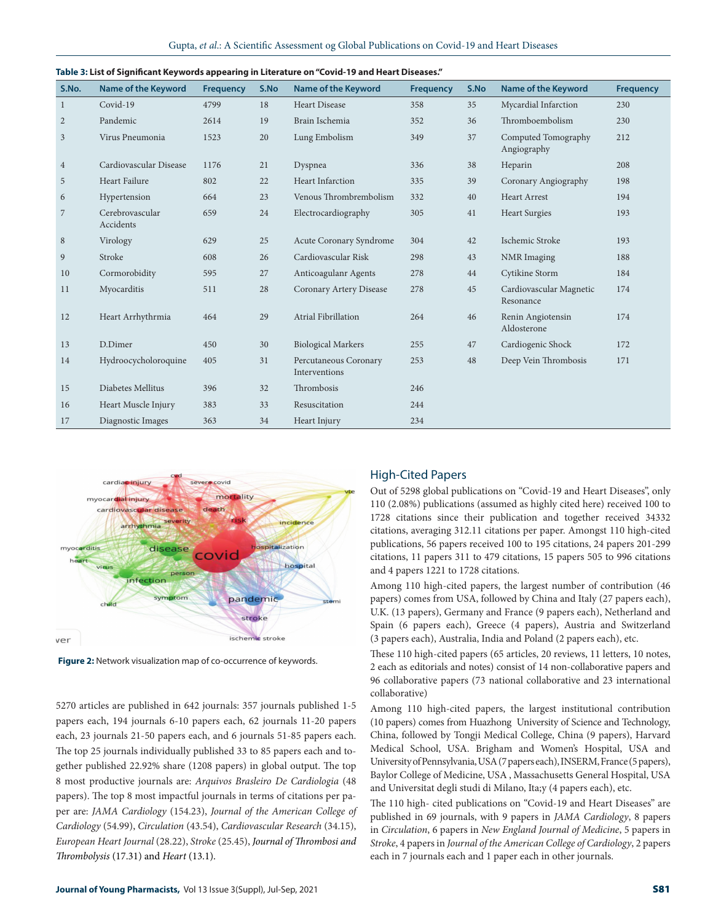| S.No.          | <b>Name of the Keyword</b>   | <b>Frequency</b> | S.No | <b>Name of the Keyword</b>             | <b>Frequency</b> | S.No | <b>Name of the Keyword</b>           | <b>Frequency</b> |
|----------------|------------------------------|------------------|------|----------------------------------------|------------------|------|--------------------------------------|------------------|
| $\mathbf{1}$   | Covid-19                     | 4799             | 18   | <b>Heart Disease</b>                   | 358              | 35   | Mycardial Infarction                 | 230              |
| $\overline{2}$ | Pandemic                     | 2614             | 19   | Brain Ischemia                         | 352              | 36   | Thromboembolism                      | 230              |
| $\mathfrak{Z}$ | Virus Pneumonia              | 1523             | 20   | Lung Embolism                          | 349              | 37   | Computed Tomography<br>Angiography   | 212              |
| $\overline{4}$ | Cardiovascular Disease       | 1176             | 21   | Dyspnea                                | 336              | 38   | Heparin                              | 208              |
| 5              | Heart Failure                | 802              | 22   | <b>Heart Infarction</b>                | 335              | 39   | Coronary Angiography                 | 198              |
| 6              | Hypertension                 | 664              | 23   | Venous Thrombrembolism                 | 332              | 40   | <b>Heart Arrest</b>                  | 194              |
| 7              | Cerebrovascular<br>Accidents | 659              | 24   | Electrocardiography                    | 305              | 41   | <b>Heart Surgies</b>                 | 193              |
| $\,8\,$        | Virology                     | 629              | 25   | Acute Coronary Syndrome                | 304              | 42   | Ischemic Stroke                      | 193              |
| 9              | Stroke                       | 608              | 26   | Cardiovascular Risk                    | 298              | 43   | <b>NMR</b> Imaging                   | 188              |
| 10             | Cormorobidity                | 595              | 27   | Anticoagulanr Agents                   | 278              | 44   | Cytikine Storm                       | 184              |
| 11             | Myocarditis                  | 511              | 28   | Coronary Artery Disease                | 278              | 45   | Cardiovascular Magnetic<br>Resonance | 174              |
| 12             | Heart Arrhythrmia            | 464              | 29   | Atrial Fibrillation                    | 264              | 46   | Renin Angiotensin<br>Aldosterone     | 174              |
| 13             | D.Dimer                      | 450              | 30   | <b>Biological Markers</b>              | 255              | 47   | Cardiogenic Shock                    | 172              |
| 14             | Hydroocycholoroquine         | 405              | 31   | Percutaneous Coronary<br>Interventions | 253              | 48   | Deep Vein Thrombosis                 | 171              |
| 15             | Diabetes Mellitus            | 396              | 32   | Thrombosis                             | 246              |      |                                      |                  |
| 16             | Heart Muscle Injury          | 383              | 33   | Resuscitation                          | 244              |      |                                      |                  |
| 17             | Diagnostic Images            | 363              | 34   | Heart Injury                           | 234              |      |                                      |                  |

**Table 3: List of Significant Keywords appearing in Literature on "Covid-19 and Heart Diseases."**



**Figure 2:** Network visualization map of co-occurrence of keywords.

5270 articles are published in 642 journals: 357 journals published 1-5 papers each, 194 journals 6-10 papers each, 62 journals 11-20 papers each, 23 journals 21-50 papers each, and 6 journals 51-85 papers each. The top 25 journals individually published 33 to 85 papers each and together published 22.92% share (1208 papers) in global output. The top 8 most productive journals are: *Arquivos Brasleiro De Cardiologia* (48 papers). The top 8 most impactful journals in terms of citations per paper are: *JAMA Cardiology* (154.23), *Journal of the American College of Cardiology* (54.99), *Circulation* (43.54), *Cardiovascular Research* (34.15), *European Heart Journal* (28.22), *Stroke* (25.45), *Journal of Thrombosi and Thrombolysis* (17.31) and *Heart* (13.1).

#### High-Cited Papers

Out of 5298 global publications on "Covid-19 and Heart Diseases", only 110 (2.08%) publications (assumed as highly cited here) received 100 to 1728 citations since their publication and together received 34332 citations, averaging 312.11 citations per paper. Amongst 110 high-cited publications, 56 papers received 100 to 195 citations, 24 papers 201-299 citations, 11 papers 311 to 479 citations, 15 papers 505 to 996 citations and 4 papers 1221 to 1728 citations.

Among 110 high-cited papers, the largest number of contribution (46 papers) comes from USA, followed by China and Italy (27 papers each), U.K. (13 papers), Germany and France (9 papers each), Netherland and Spain (6 papers each), Greece (4 papers), Austria and Switzerland (3 papers each), Australia, India and Poland (2 papers each), etc.

These 110 high-cited papers (65 articles, 20 reviews, 11 letters, 10 notes, 2 each as editorials and notes) consist of 14 non-collaborative papers and 96 collaborative papers (73 national collaborative and 23 international collaborative)

Among 110 high-cited papers, the largest institutional contribution (10 papers) comes from Huazhong University of Science and Technology, China, followed by Tongji Medical College, China (9 papers), Harvard Medical School, USA. Brigham and Women's Hospital, USA and University of Pennsylvania, USA (7 papers each), INSERM, France (5 papers), Baylor College of Medicine, USA , Massachusetts General Hospital, USA and Universitat degli studi di Milano, Ita;y (4 papers each), etc.

The 110 high- cited publications on "Covid-19 and Heart Diseases" are published in 69 journals, with 9 papers in *JAMA Cardiology*, 8 papers in *Circulation*, 6 papers in *New England Journal of Medicine*, 5 papers in *Stroke*, 4 papers in *Journal of the American College of Cardiology*, 2 papers each in 7 journals each and 1 paper each in other journals.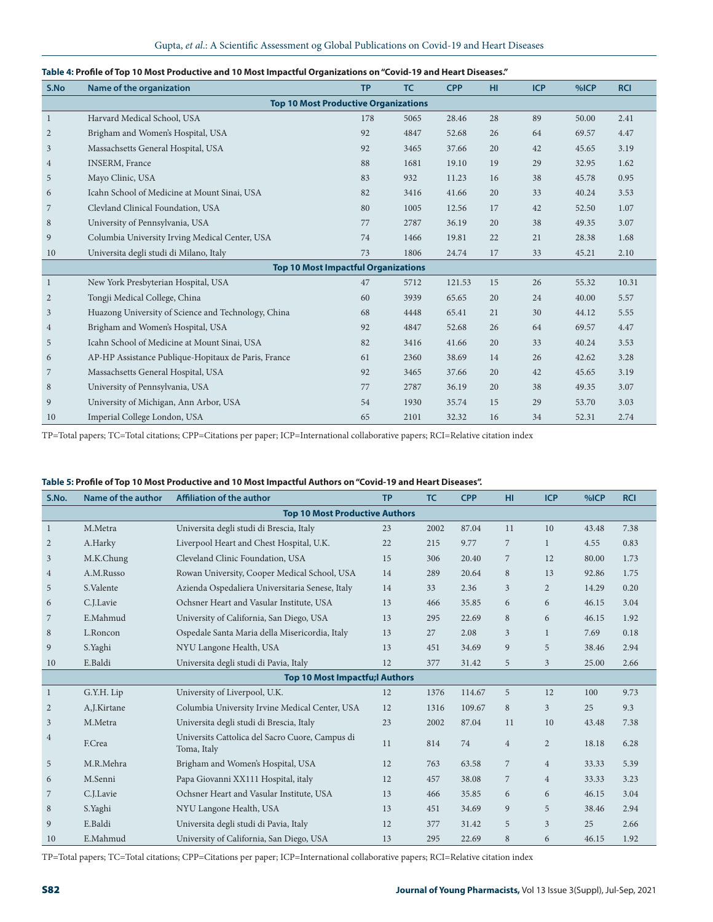| S.No                                        | Name of the organization                            | <b>TP</b> | <b>TC</b> | <b>CPP</b> | HI. | <b>ICP</b> | %ICP  | <b>RCI</b> |  |  |  |
|---------------------------------------------|-----------------------------------------------------|-----------|-----------|------------|-----|------------|-------|------------|--|--|--|
| <b>Top 10 Most Productive Organizations</b> |                                                     |           |           |            |     |            |       |            |  |  |  |
| 1                                           | Harvard Medical School, USA                         | 178       | 5065      | 28.46      | 28  | 89         | 50.00 | 2.41       |  |  |  |
| 2                                           | Brigham and Women's Hospital, USA                   | 92        | 4847      | 52.68      | 26  | 64         | 69.57 | 4.47       |  |  |  |
| 3                                           | Massachsetts General Hospital, USA                  | 92        | 3465      | 37.66      | 20  | 42         | 45.65 | 3.19       |  |  |  |
| $\overline{4}$                              | <b>INSERM, France</b>                               | 88        | 1681      | 19.10      | 19  | 29         | 32.95 | 1.62       |  |  |  |
| 5                                           | Mayo Clinic, USA                                    | 83        | 932       | 11.23      | 16  | 38         | 45.78 | 0.95       |  |  |  |
| 6                                           | Icahn School of Medicine at Mount Sinai, USA        | 82        | 3416      | 41.66      | 20  | 33         | 40.24 | 3.53       |  |  |  |
| 7                                           | Clevland Clinical Foundation, USA                   | 80        | 1005      | 12.56      | 17  | 42         | 52.50 | 1.07       |  |  |  |
| 8                                           | University of Pennsylvania, USA                     | 77        | 2787      | 36.19      | 20  | 38         | 49.35 | 3.07       |  |  |  |
| 9                                           | Columbia University Irving Medical Center, USA      |           | 1466      | 19.81      | 22  | 21         | 28.38 | 1.68       |  |  |  |
| 10                                          | Universita degli studi di Milano, Italy             |           | 1806      | 24.74      | 17  | 33         | 45.21 | 2.10       |  |  |  |
|                                             | <b>Top 10 Most Impactful Organizations</b>          |           |           |            |     |            |       |            |  |  |  |
| 1                                           | New York Presbyterian Hospital, USA                 | 47        | 5712      | 121.53     | 15  | 26         | 55.32 | 10.31      |  |  |  |
| 2                                           | Tongji Medical College, China                       | 60        | 3939      | 65.65      | 20  | 24         | 40.00 | 5.57       |  |  |  |
| $\mathfrak{Z}$                              | Huazong University of Science and Technology, China | 68        | 4448      | 65.41      | 21  | 30         | 44.12 | 5.55       |  |  |  |
| $\overline{4}$                              | Brigham and Women's Hospital, USA                   | 92        | 4847      | 52.68      | 26  | 64         | 69.57 | 4.47       |  |  |  |
| 5                                           | Icahn School of Medicine at Mount Sinai, USA        | 82        | 3416      | 41.66      | 20  | 33         | 40.24 | 3.53       |  |  |  |
| 6                                           | AP-HP Assistance Publique-Hopitaux de Paris, France | 61        | 2360      | 38.69      | 14  | 26         | 42.62 | 3.28       |  |  |  |
| 7                                           | Massachsetts General Hospital, USA                  | 92        | 3465      | 37.66      | 20  | 42         | 45.65 | 3.19       |  |  |  |
| 8                                           | University of Pennsylvania, USA                     | 77        | 2787      | 36.19      | 20  | 38         | 49.35 | 3.07       |  |  |  |
| 9                                           | University of Michigan, Ann Arbor, USA              | 54        | 1930      | 35.74      | 15  | 29         | 53.70 | 3.03       |  |  |  |
| 10                                          | Imperial College London, USA                        | 65        | 2101      | 32.32      | 16  | 34         | 52.31 | 2.74       |  |  |  |

#### **Table 4: Profile of Top 10 Most Productive and 10 Most Impactful Organizations on "Covid-19 and Heart Diseases."**

TP=Total papers; TC=Total citations; CPP=Citations per paper; ICP=International collaborative papers; RCI=Relative citation index

#### **Table 5: Profile of Top 10 Most Productive and 10 Most Impactful Authors on "Covid-19 and Heart Diseases".**

| S.No.                                 | Name of the author | <b>Affiliation of the author</b>                               | <b>TP</b> | <b>TC</b> | <b>CPP</b> | HI             | <b>ICP</b>     | %ICP  | <b>RCI</b> |  |  |
|---------------------------------------|--------------------|----------------------------------------------------------------|-----------|-----------|------------|----------------|----------------|-------|------------|--|--|
| <b>Top 10 Most Productive Authors</b> |                    |                                                                |           |           |            |                |                |       |            |  |  |
| $\mathbf{1}$                          | M.Metra            | Universita degli studi di Brescia, Italy                       | 23        | 2002      | 87.04      | 11             | 10             | 43.48 | 7.38       |  |  |
| $\overline{2}$                        | A.Harky            | Liverpool Heart and Chest Hospital, U.K.                       | 22        | 215       | 9.77       | 7              | 1              | 4.55  | 0.83       |  |  |
| 3                                     | M.K.Chung          | Cleveland Clinic Foundation, USA                               | 15        | 306       | 20.40      | 7              | 12             | 80.00 | 1.73       |  |  |
| $\overline{4}$                        | A.M.Russo          | Rowan University, Cooper Medical School, USA                   | 14        | 289       | 20.64      | 8              | 13             | 92.86 | 1.75       |  |  |
| 5                                     | S.Valente          | Azienda Ospedaliera Universitaria Senese, Italy                | 14        | 33        | 2.36       | 3              | 2              | 14.29 | 0.20       |  |  |
| 6                                     | C.J.Lavie          | Ochsner Heart and Vasular Institute, USA                       | 13        | 466       | 35.85      | 6              | 6              | 46.15 | 3.04       |  |  |
| 7                                     | E.Mahmud           | University of California, San Diego, USA                       | 13        | 295       | 22.69      | 8              | 6              | 46.15 | 1.92       |  |  |
| 8                                     | L.Roncon           | Ospedale Santa Maria della Misericordia, Italy                 | 13        | 27        | 2.08       | $\overline{3}$ | 1              | 7.69  | 0.18       |  |  |
| 9                                     | S.Yaghi            | NYU Langone Health, USA                                        | 13        | 451       | 34.69      | 9              | 5              | 38.46 | 2.94       |  |  |
| 10                                    | E.Baldi            | Universita degli studi di Pavia, Italy                         | 12        | 377       | 31.42      | 5              | $\overline{3}$ | 25.00 | 2.66       |  |  |
|                                       |                    | <b>Top 10 Most Impactfu; Authors</b>                           |           |           |            |                |                |       |            |  |  |
| $\mathbf{1}$                          | G.Y.H. Lip         | University of Liverpool, U.K.                                  | 12        | 1376      | 114.67     | 5              | 12             | 100   | 9.73       |  |  |
| $\overline{2}$                        | A,J.Kirtane        | Columbia University Irvine Medical Center, USA                 | 12        | 1316      | 109.67     | 8              | 3              | 25    | 9.3        |  |  |
| 3                                     | M.Metra            | Universita degli studi di Brescia, Italy                       | 23        | 2002      | 87.04      | 11             | 10             | 43.48 | 7.38       |  |  |
| $\overline{4}$                        | F.Crea             | Universits Cattolica del Sacro Cuore, Campus di<br>Toma, Italy | 11        | 814       | 74         | $\overline{4}$ | 2              | 18.18 | 6.28       |  |  |
| 5                                     | M.R.Mehra          | Brigham and Women's Hospital, USA                              | 12        | 763       | 63.58      | 7              | $\overline{4}$ | 33.33 | 5.39       |  |  |
| 6                                     | M.Senni            | Papa Giovanni XX111 Hospital, italy                            | 12        | 457       | 38.08      | 7              | $\overline{4}$ | 33.33 | 3.23       |  |  |
| 7                                     | C.J.Lavie          | Ochsner Heart and Vasular Institute, USA                       | 13        | 466       | 35.85      | 6              | 6              | 46.15 | 3.04       |  |  |
| 8                                     | S.Yaghi            | NYU Langone Health, USA                                        | 13        | 451       | 34.69      | 9              | 5              | 38.46 | 2.94       |  |  |
| 9                                     | E.Baldi            | Universita degli studi di Pavia, Italy                         | 12        | 377       | 31.42      | 5              | 3              | 25    | 2.66       |  |  |
| 10                                    | E.Mahmud           | University of California, San Diego, USA                       | 13        | 295       | 22.69      | 8              | 6              | 46.15 | 1.92       |  |  |

TP=Total papers; TC=Total citations; CPP=Citations per paper; ICP=International collaborative papers; RCI=Relative citation index